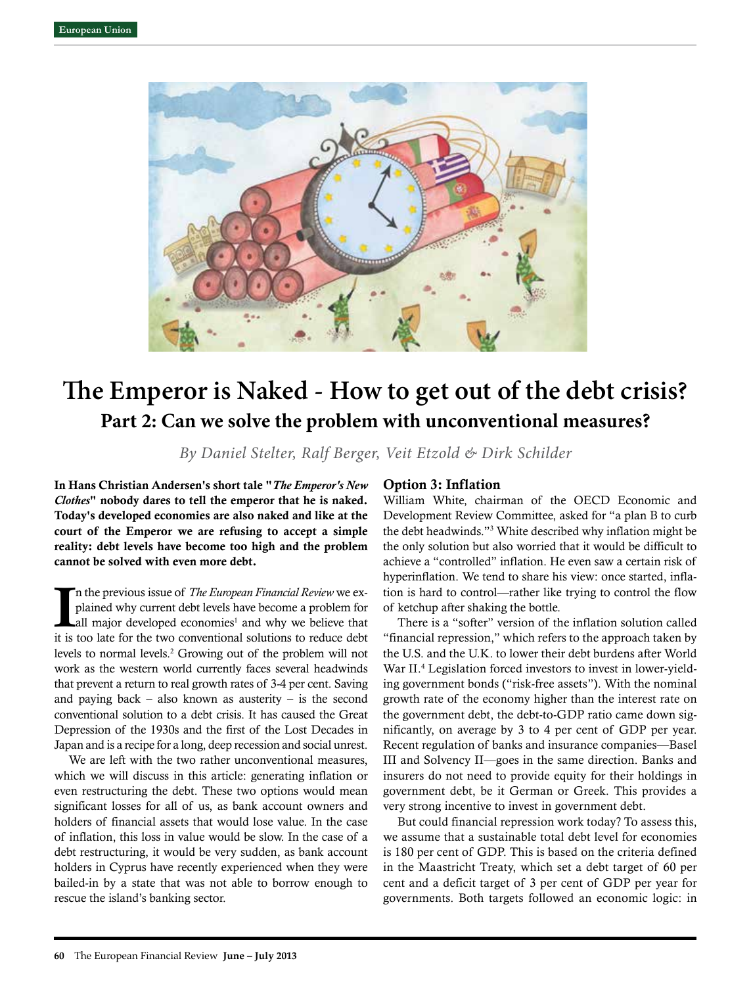

# **The Emperor is Naked - How to get out of the debt crisis? Part 2: Can we solve the problem with unconventional measures?**

*By Daniel Stelter, Ralf Berger, Veit Etzold & Dirk Schilder*

In Hans Christian Andersen's short tale "*The Emperor's New Clothes*" nobody dares to tell the emperor that he is naked. Today's developed economies are also naked and like at the court of the Emperor we are refusing to accept a simple reality: debt levels have become too high and the problem cannot be solved with even more debt.

In the previous issue of *The European Financial Review* we explained why current debt levels have become a problem for all major developed economies<sup>1</sup> and why we believe that it is too late for the two conventional solut n the previous issue of *The European Financial Review* we explained why current debt levels have become a problem for all major developed economies<sup>1</sup> and why we believe that levels to normal levels.<sup>2</sup> Growing out of the problem will not work as the western world currently faces several headwinds that prevent a return to real growth rates of 3-4 per cent. Saving and paying back – also known as austerity – is the second conventional solution to a debt crisis. It has caused the Great Depression of the 1930s and the first of the Lost Decades in Japan and is a recipe for a long, deep recession and social unrest.

We are left with the two rather unconventional measures, which we will discuss in this article: generating inflation or even restructuring the debt. These two options would mean significant losses for all of us, as bank account owners and holders of financial assets that would lose value. In the case of inflation, this loss in value would be slow. In the case of a debt restructuring, it would be very sudden, as bank account holders in Cyprus have recently experienced when they were bailed-in by a state that was not able to borrow enough to rescue the island's banking sector.

## Option 3: Inflation

William White, chairman of the OECD Economic and Development Review Committee, asked for "a plan B to curb the debt headwinds."3 White described why inflation might be the only solution but also worried that it would be difficult to achieve a "controlled" inflation. He even saw a certain risk of hyperinflation. We tend to share his view: once started, inflation is hard to control—rather like trying to control the flow of ketchup after shaking the bottle.

There is a "softer" version of the inflation solution called "financial repression," which refers to the approach taken by the U.S. and the U.K. to lower their debt burdens after World War II.4 Legislation forced investors to invest in lower-yielding government bonds ("risk-free assets"). With the nominal growth rate of the economy higher than the interest rate on the government debt, the debt-to-GDP ratio came down significantly, on average by 3 to 4 per cent of GDP per year. Recent regulation of banks and insurance companies—Basel III and Solvency II—goes in the same direction. Banks and insurers do not need to provide equity for their holdings in government debt, be it German or Greek. This provides a very strong incentive to invest in government debt.

But could financial repression work today? To assess this, we assume that a sustainable total debt level for economies is 180 per cent of GDP. This is based on the criteria defined in the Maastricht Treaty, which set a debt target of 60 per cent and a deficit target of 3 per cent of GDP per year for governments. Both targets followed an economic logic: in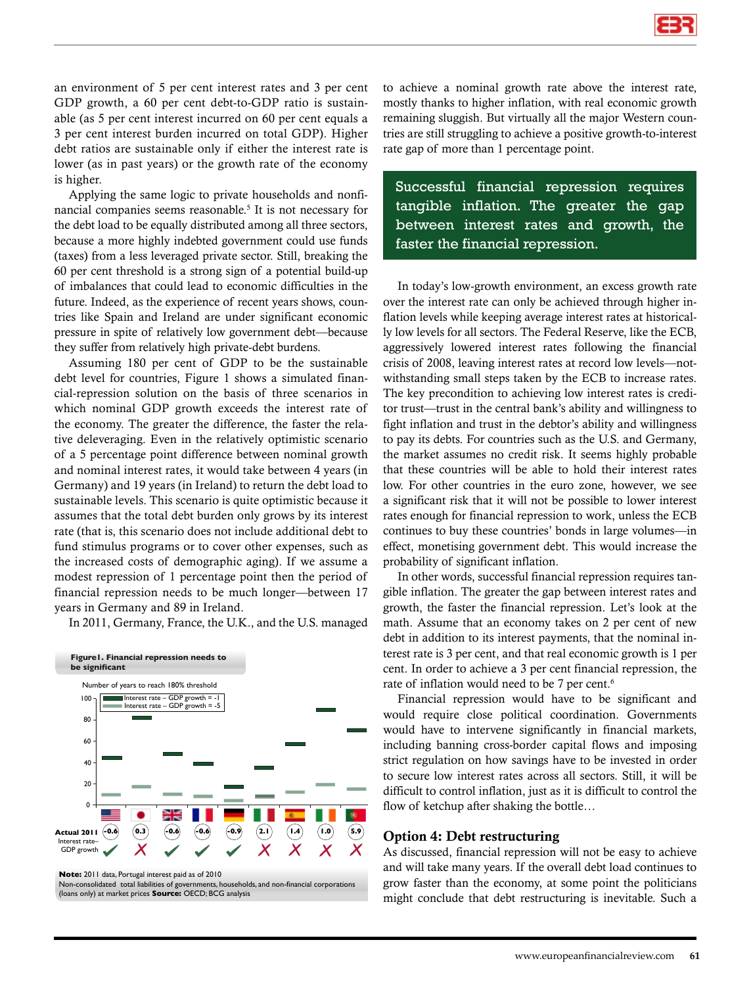an environment of 5 per cent interest rates and 3 per cent GDP growth, a 60 per cent debt-to-GDP ratio is sustainable (as 5 per cent interest incurred on 60 per cent equals a 3 per cent interest burden incurred on total GDP). Higher debt ratios are sustainable only if either the interest rate is lower (as in past years) or the growth rate of the economy is higher.

Applying the same logic to private households and nonfinancial companies seems reasonable.<sup>5</sup> It is not necessary for the debt load to be equally distributed among all three sectors, because a more highly indebted government could use funds (taxes) from a less leveraged private sector. Still, breaking the 60 per cent threshold is a strong sign of a potential build-up of imbalances that could lead to economic difficulties in the future. Indeed, as the experience of recent years shows, countries like Spain and Ireland are under significant economic pressure in spite of relatively low government debt—because they suffer from relatively high private-debt burdens.

Assuming 180 per cent of GDP to be the sustainable debt level for countries, Figure 1 shows a simulated financial-repression solution on the basis of three scenarios in which nominal GDP growth exceeds the interest rate of the economy. The greater the difference, the faster the relative deleveraging. Even in the relatively optimistic scenario of a 5 percentage point difference between nominal growth and nominal interest rates, it would take between 4 years (in Germany) and 19 years (in Ireland) to return the debt load to sustainable levels. This scenario is quite optimistic because it assumes that the total debt burden only grows by its interest rate (that is, this scenario does not include additional debt to fund stimulus programs or to cover other expenses, such as the increased costs of demographic aging). If we assume a modest repression of 1 percentage point then the period of financial repression needs to be much longer—between 17 years in Germany and 89 in Ireland.

In 2011, Germany, France, the U.K., and the U.S. managed



**Note:** 2011 data, Portugal interest paid as of 2010

Non-consolidated total liabilities of governments, households, and non-financial corporations (loans only) at market prices **Source:** OECD; BCG analysis

to achieve a nominal growth rate above the interest rate, mostly thanks to higher inflation, with real economic growth remaining sluggish. But virtually all the major Western countries are still struggling to achieve a positive growth-to-interest rate gap of more than 1 percentage point.

Successful financial repression requires tangible inflation. The greater the gap between interest rates and growth, the faster the financial repression.

In today's low-growth environment, an excess growth rate over the interest rate can only be achieved through higher inflation levels while keeping average interest rates at historically low levels for all sectors. The Federal Reserve, like the ECB, aggressively lowered interest rates following the financial crisis of 2008, leaving interest rates at record low levels—notwithstanding small steps taken by the ECB to increase rates. The key precondition to achieving low interest rates is creditor trust—trust in the central bank's ability and willingness to fight inflation and trust in the debtor's ability and willingness to pay its debts. For countries such as the U.S. and Germany, the market assumes no credit risk. It seems highly probable that these countries will be able to hold their interest rates low. For other countries in the euro zone, however, we see a significant risk that it will not be possible to lower interest rates enough for financial repression to work, unless the ECB continues to buy these countries' bonds in large volumes—in effect, monetising government debt. This would increase the probability of significant inflation.

In other words, successful financial repression requires tangible inflation. The greater the gap between interest rates and growth, the faster the financial repression. Let's look at the math. Assume that an economy takes on 2 per cent of new debt in addition to its interest payments, that the nominal interest rate is 3 per cent, and that real economic growth is 1 per cent. In order to achieve a 3 per cent financial repression, the rate of inflation would need to be 7 per cent.<sup>6</sup>

Financial repression would have to be significant and would require close political coordination. Governments would have to intervene significantly in financial markets, including banning cross-border capital flows and imposing strict regulation on how savings have to be invested in order to secure low interest rates across all sectors. Still, it will be difficult to control inflation, just as it is difficult to control the flow of ketchup after shaking the bottle…

### Option 4: Debt restructuring

As discussed, financial repression will not be easy to achieve and will take many years. If the overall debt load continues to grow faster than the economy, at some point the politicians might conclude that debt restructuring is inevitable. Such a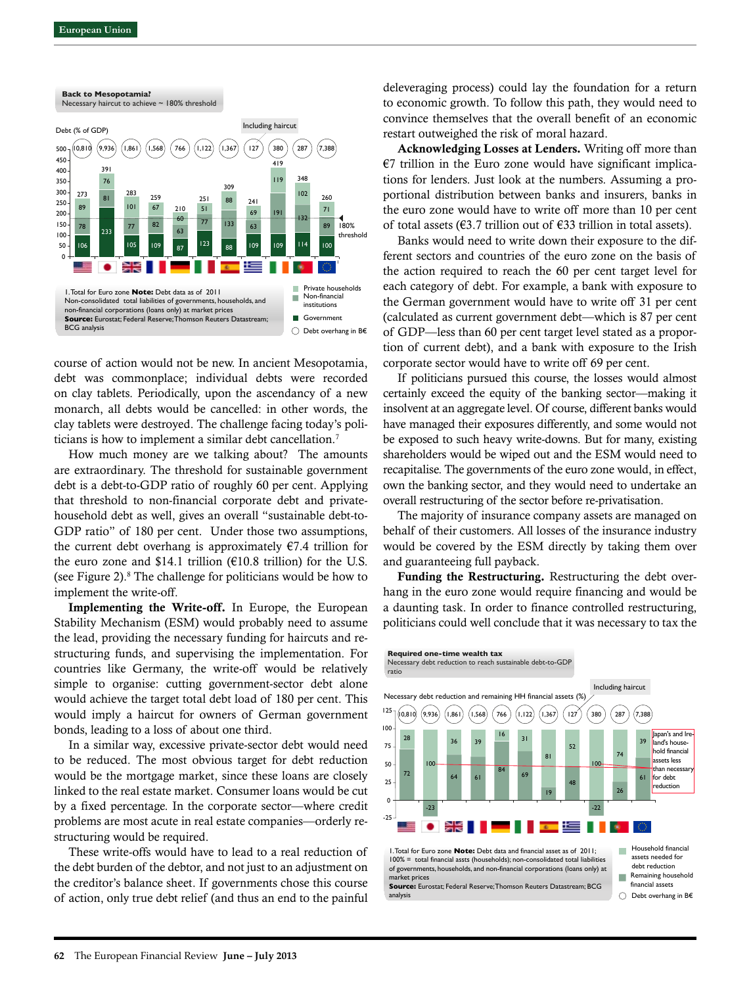

course of action would not be new. In ancient Mesopotamia, debt was commonplace; individual debts were recorded on clay tablets. Periodically, upon the ascendancy of a new monarch, all debts would be cancelled: in other words, the clay tablets were destroyed. The challenge facing today's politicians is how to implement a similar debt cancellation.7

How much money are we talking about? The amounts are extraordinary. The threshold for sustainable government debt is a debt-to-GDP ratio of roughly 60 per cent. Applying that threshold to non-financial corporate debt and privatehousehold debt as well, gives an overall "sustainable debt-to-GDP ratio" of 180 per cent. Under those two assumptions, the current debt overhang is approximately  $\epsilon$ 7.4 trillion for the euro zone and \$14.1 trillion ( $\epsilon$ 10.8 trillion) for the U.S. (see Figure 2).<sup>8</sup> The challenge for politicians would be how to implement the write-off.

Implementing the Write-off. In Europe, the European Stability Mechanism (ESM) would probably need to assume the lead, providing the necessary funding for haircuts and restructuring funds, and supervising the implementation. For countries like Germany, the write-off would be relatively simple to organise: cutting government-sector debt alone would achieve the target total debt load of 180 per cent. This would imply a haircut for owners of German government bonds, leading to a loss of about one third.

In a similar way, excessive private-sector debt would need to be reduced. The most obvious target for debt reduction would be the mortgage market, since these loans are closely linked to the real estate market. Consumer loans would be cut by a fixed percentage. In the corporate sector—where credit problems are most acute in real estate companies—orderly restructuring would be required.

These write-offs would have to lead to a real reduction of the debt burden of the debtor, and not just to an adjustment on the creditor's balance sheet. If governments chose this course of action, only true debt relief (and thus an end to the painful deleveraging process) could lay the foundation for a return to economic growth. To follow this path, they would need to convince themselves that the overall benefit of an economic restart outweighed the risk of moral hazard.

Acknowledging Losses at Lenders. Writing off more than  $€7$  trillion in the Euro zone would have significant implications for lenders. Just look at the numbers. Assuming a proportional distribution between banks and insurers, banks in the euro zone would have to write off more than 10 per cent of total assets ( $\epsilon$ 3.7 trillion out of  $\epsilon$ 33 trillion in total assets).

Banks would need to write down their exposure to the different sectors and countries of the euro zone on the basis of the action required to reach the 60 per cent target level for each category of debt. For example, a bank with exposure to the German government would have to write off 31 per cent (calculated as current government debt—which is 87 per cent of GDP—less than 60 per cent target level stated as a proportion of current debt), and a bank with exposure to the Irish corporate sector would have to write off 69 per cent.

If politicians pursued this course, the losses would almost certainly exceed the equity of the banking sector—making it insolvent at an aggregate level. Of course, different banks would have managed their exposures differently, and some would not be exposed to such heavy write-downs. But for many, existing shareholders would be wiped out and the ESM would need to recapitalise. The governments of the euro zone would, in effect, own the banking sector, and they would need to undertake an overall restructuring of the sector before re-privatisation.

The majority of insurance company assets are managed on behalf of their customers. All losses of the insurance industry would be covered by the ESM directly by taking them over and guaranteeing full payback.

Funding the Restructuring. Restructuring the debt overhang in the euro zone would require financing and would be a daunting task. In order to finance controlled restructuring, politicians could well conclude that it was necessary to tax the

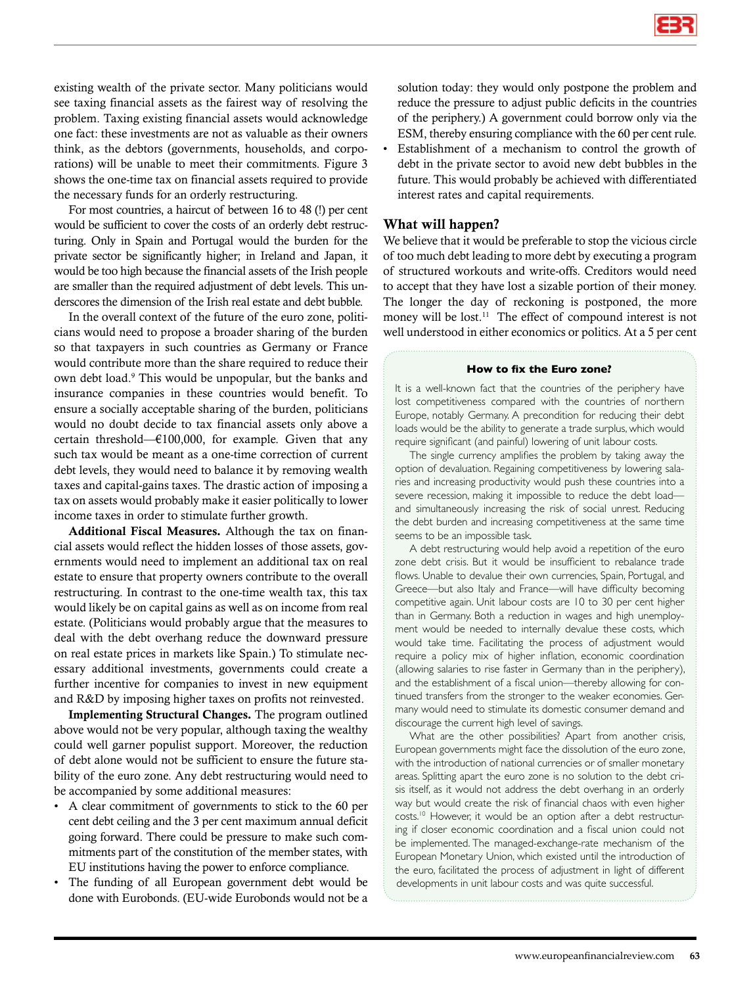existing wealth of the private sector. Many politicians would see taxing financial assets as the fairest way of resolving the problem. Taxing existing financial assets would acknowledge one fact: these investments are not as valuable as their owners think, as the debtors (governments, households, and corporations) will be unable to meet their commitments. Figure 3 shows the one-time tax on financial assets required to provide the necessary funds for an orderly restructuring.

For most countries, a haircut of between 16 to 48 (!) per cent would be sufficient to cover the costs of an orderly debt restructuring. Only in Spain and Portugal would the burden for the private sector be significantly higher; in Ireland and Japan, it would be too high because the financial assets of the Irish people are smaller than the required adjustment of debt levels. This underscores the dimension of the Irish real estate and debt bubble.

In the overall context of the future of the euro zone, politicians would need to propose a broader sharing of the burden so that taxpayers in such countries as Germany or France would contribute more than the share required to reduce their own debt load.9 This would be unpopular, but the banks and insurance companies in these countries would benefit. To ensure a socially acceptable sharing of the burden, politicians would no doubt decide to tax financial assets only above a certain threshold—€100,000, for example. Given that any such tax would be meant as a one-time correction of current debt levels, they would need to balance it by removing wealth taxes and capital-gains taxes. The drastic action of imposing a tax on assets would probably make it easier politically to lower income taxes in order to stimulate further growth.

Additional Fiscal Measures. Although the tax on financial assets would reflect the hidden losses of those assets, governments would need to implement an additional tax on real estate to ensure that property owners contribute to the overall restructuring. In contrast to the one-time wealth tax, this tax would likely be on capital gains as well as on income from real estate. (Politicians would probably argue that the measures to deal with the debt overhang reduce the downward pressure on real estate prices in markets like Spain.) To stimulate necessary additional investments, governments could create a further incentive for companies to invest in new equipment and R&D by imposing higher taxes on profits not reinvested.

Implementing Structural Changes. The program outlined above would not be very popular, although taxing the wealthy could well garner populist support. Moreover, the reduction of debt alone would not be sufficient to ensure the future stability of the euro zone. Any debt restructuring would need to be accompanied by some additional measures:

- A clear commitment of governments to stick to the 60 per cent debt ceiling and the 3 per cent maximum annual deficit going forward. There could be pressure to make such commitments part of the constitution of the member states, with EU institutions having the power to enforce compliance.
- The funding of all European government debt would be done with Eurobonds. (EU-wide Eurobonds would not be a

solution today: they would only postpone the problem and reduce the pressure to adjust public deficits in the countries of the periphery.) A government could borrow only via the ESM, thereby ensuring compliance with the 60 per cent rule.

Establishment of a mechanism to control the growth of debt in the private sector to avoid new debt bubbles in the future. This would probably be achieved with differentiated interest rates and capital requirements.

## What will happen?

We believe that it would be preferable to stop the vicious circle of too much debt leading to more debt by executing a program of structured workouts and write-offs. Creditors would need to accept that they have lost a sizable portion of their money. The longer the day of reckoning is postponed, the more money will be lost.<sup>11</sup> The effect of compound interest is not well understood in either economics or politics. At a 5 per cent

#### **How to fix the Euro zone?**

It is a well-known fact that the countries of the periphery have lost competitiveness compared with the countries of northern Europe, notably Germany. A precondition for reducing their debt loads would be the ability to generate a trade surplus, which would require significant (and painful) lowering of unit labour costs.

The single currency amplifies the problem by taking away the option of devaluation. Regaining competitiveness by lowering salaries and increasing productivity would push these countries into a severe recession, making it impossible to reduce the debt load and simultaneously increasing the risk of social unrest. Reducing the debt burden and increasing competitiveness at the same time seems to be an impossible task.

A debt restructuring would help avoid a repetition of the euro zone debt crisis. But it would be insufficient to rebalance trade flows. Unable to devalue their own currencies, Spain, Portugal, and Greece—but also Italy and France—will have difficulty becoming competitive again. Unit labour costs are 10 to 30 per cent higher than in Germany. Both a reduction in wages and high unemployment would be needed to internally devalue these costs, which would take time. Facilitating the process of adjustment would require a policy mix of higher inflation, economic coordination (allowing salaries to rise faster in Germany than in the periphery), and the establishment of a fiscal union—thereby allowing for continued transfers from the stronger to the weaker economies. Germany would need to stimulate its domestic consumer demand and discourage the current high level of savings.

What are the other possibilities? Apart from another crisis, European governments might face the dissolution of the euro zone, with the introduction of national currencies or of smaller monetary areas. Splitting apart the euro zone is no solution to the debt crisis itself, as it would not address the debt overhang in an orderly way but would create the risk of financial chaos with even higher costs.<sup>10</sup> However, it would be an option after a debt restructuring if closer economic coordination and a fiscal union could not be implemented. The managed-exchange-rate mechanism of the European Monetary Union, which existed until the introduction of the euro, facilitated the process of adjustment in light of different developments in unit labour costs and was quite successful.